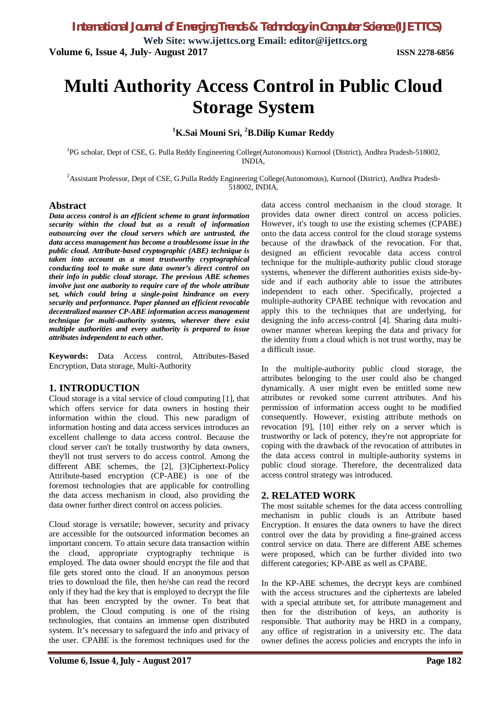**Web Site: www.ijettcs.org Email: editor@ijettcs.org Volume 6, Issue 4, July- August 2017 ISSN 2278-6856**

# **Multi Authority Access Control in Public Cloud Storage System**

### **<sup>1</sup>K.Sai Mouni Sri, <sup>2</sup>B.Dilip Kumar Reddy**

<sup>1</sup>PG scholar, Dept of CSE, G. Pulla Reddy Engineering College(Autonomous) Kurnool (District), Andhra Pradesh-518002, INDIA,

<sup>2</sup>Assistant Professor, Dept of CSE, G.Pulla Reddy Engineering College(Autonomous), Kurnool (District), Andhra Pradesh-518002, INDIA,

#### **Abstract**

*Data access control is an efficient scheme to grant information security within the cloud but as a result of information outsourcing over the cloud servers which are untrusted, the data access management has become a troublesome issue in the public cloud. Attribute-based cryptographic (ABE) technique is taken into account as a most trustworthy cryptographical conducting tool to make sure data owner's direct control on their info in public cloud storage. The previous ABE schemes involve just one authority to require care of the whole attribute set, which could bring a single-point hindrance on every security and performance. Paper planned an efficient revocable decentralized manner CP-ABE information access management technique for multi-authority systems, wherever there exist multiple authorities and every authority is prepared to issue attributes independent to each other.*

**Keywords:** Data Access control, Attributes-Based Encryption, Data storage, Multi-Authority

#### **1. INTRODUCTION**

Cloud storage is a vital service of cloud computing [1], that which offers service for data owners in hosting their information within the cloud. This new paradigm of information hosting and data access services introduces an excellent challenge to data access control. Because the cloud server can't be totally trustworthy by data owners, they'll not trust servers to do access control. Among the different ABE schemes, the [2], [3]Ciphertext-Policy Attribute-based encryption (CP-ABE) is one of the foremost technologies that are applicable for controlling the data access mechanism in cloud, also providing the data owner further direct control on access policies.

Cloud storage is versatile; however, security and privacy are accessible for the outsourced information becomes an important concern. To attain secure data transaction within the cloud, appropriate cryptography technique is employed. The data owner should encrypt the file and that file gets stored onto the cloud. If an anonymous person tries to download the file, then he/she can read the record only if they had the key that is employed to decrypt the file that has been encrypted by the owner. To beat that problem, the Cloud computing is one of the rising technologies, that contains an immense open distributed system. It's necessary to safeguard the info and privacy of the user. CPABE is the foremost techniques used for the

data access control mechanism in the cloud storage. It provides data owner direct control on access policies. However, it's tough to use the existing schemes (CPABE) onto the data access control for the cloud storage systems because of the drawback of the revocation. For that, designed an efficient revocable data access control technique for the multiple-authority public cloud storage systems, whenever the different authorities exists side-byside and if each authority able to issue the attributes independent to each other. Specifically, projected a multiple-authority CPABE technique with revocation and apply this to the techniques that are underlying, for designing the info access-control [4]. Sharing data multiowner manner whereas keeping the data and privacy for the identity from a cloud which is not trust worthy, may be a difficult issue.

In the multiple-authority public cloud storage, the attributes belonging to the user could also be changed dynamically. A user might even be entitled some new attributes or revoked some current attributes. And his permission of information access ought to be modified consequently. However, existing attribute methods on revocation [9], [10] either rely on a server which is trustworthy or lack of potency, they're not appropriate for coping with the drawback of the revocation of attributes in the data access control in multiple-authority systems in public cloud storage. Therefore, the decentralized data access control strategy was introduced.

#### **2. RELATED WORK**

The most suitable schemes for the data access controlling mechanism in public clouds is an Attribute based Encryption. It ensures the data owners to have the direct control over the data by providing a fine-grained access control service on data. There are different ABE schemes were proposed, which can be further divided into two different categories; KP-ABE as well as CPABE.

In the KP-ABE schemes, the decrypt keys are combined with the access structures and the ciphertexts are labeled with a special attribute set, for attribute management and then for the distribution of keys, an authority is responsible. That authority may be HRD in a company, any office of registration in a university etc. The data owner defines the access policies and encrypts the info in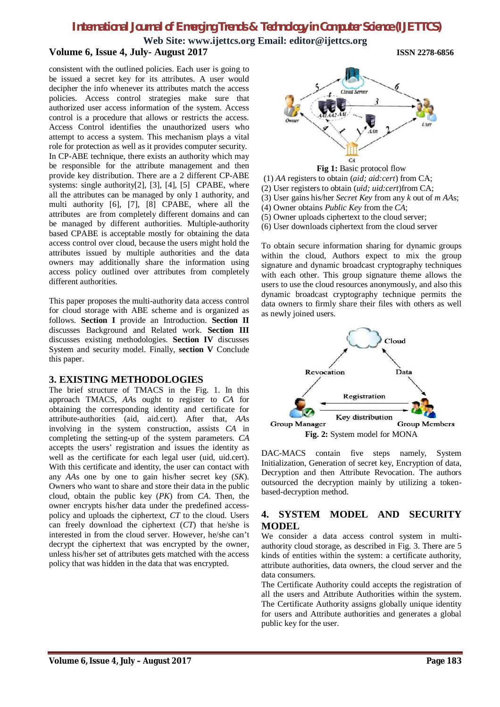# *International Journal of Emerging Trends & Technology in Computer Science (IJETTCS)*

**Web Site: www.ijettcs.org Email: editor@ijettcs.org**

#### **Volume 6, Issue 4, July- August 2017 ISSN 2278-6856**

consistent with the outlined policies. Each user is going to be issued a secret key for its attributes. A user would decipher the info whenever its attributes match the access policies. Access control strategies make sure that authorized user access information of the system. Access control is a procedure that allows or restricts the access. Access Control identifies the unauthorized users who attempt to access a system. This mechanism plays a vital role for protection as well as it provides computer security. In CP-ABE technique, there exists an authority which may be responsible for the attribute management and then provide key distribution. There are a 2 different CP-ABE systems: single authority[2], [3], [4], [5] CPABE, where all the attributes can be managed by only 1 authority, and multi authority [6], [7], [8] CPABE, where all the attributes are from completely different domains and can be managed by different authorities. Multiple-authority based CPABE is acceptable mostly for obtaining the data access control over cloud, because the users might hold the attributes issued by multiple authorities and the data owners may additionally share the information using access policy outlined over attributes from completely different authorities.

This paper proposes the multi-authority data access control for cloud storage with ABE scheme and is organized as follows. **Section I** provide an Introduction. **Section II**  discusses Background and Related work. **Section III**  discusses existing methodologies. **Section IV** discusses System and security model. Finally, **section V** Conclude this paper.

#### **3. EXISTING METHODOLOGIES**

The brief structure of TMACS in the Fig. 1. In this approach TMACS, *AA*s ought to register to *CA* for obtaining the corresponding identity and certificate for attribute-authorities (aid, aid.cert). After that, *AA*s involving in the system construction, assists *CA* in completing the setting-up of the system parameters. *CA*  accepts the users' registration and issues the identity as well as the certificate for each legal user (uid, uid.cert). With this certificate and identity, the user can contact with any *AA*s one by one to gain his/her secret key (*SK*). Owners who want to share and store their data in the public cloud, obtain the public key (*PK*) from *CA*. Then, the owner encrypts his/her data under the predefined accesspolicy and uploads the ciphertext, *CT* to the cloud. Users can freely download the ciphertext (*CT*) that he/she is interested in from the cloud server. However, he/she can't decrypt the ciphertext that was encrypted by the owner, unless his/her set of attributes gets matched with the access policy that was hidden in the data that was encrypted.



**Fig 1:** Basic protocol flow

- (1) *AA* registers to obtain (*aid; aid:cert*) from CA;
- (2) User registers to obtain (*uid; uid:cert*)from CA;
- (3) User gains his/her *Secret Key* from any *k* out of *m AA*s;
- (4) Owner obtains *Public Key* from the *CA*;
- (5) Owner uploads ciphertext to the cloud server;
- (6) User downloads ciphertext from the cloud server

To obtain secure information sharing for dynamic groups within the cloud, Authors expect to mix the group signature and dynamic broadcast cryptography techniques with each other. This group signature theme allows the users to use the cloud resources anonymously, and also this dynamic broadcast cryptography technique permits the data owners to firmly share their files with others as well as newly joined users.



DAC-MACS contain five steps namely, System Initialization, Generation of secret key, Encryption of data, Decryption and then Attribute Revocation. The authors outsourced the decryption mainly by utilizing a tokenbased-decryption method.

#### **4. SYSTEM MODEL AND SECURITY MODEL**

We consider a data access control system in multiauthority cloud storage, as described in Fig. 3. There are 5 kinds of entities within the system: a certificate authority, attribute authorities, data owners, the cloud server and the data consumers.

The Certificate Authority could accepts the registration of all the users and Attribute Authorities within the system. The Certificate Authority assigns globally unique identity for users and Attribute authorities and generates a global public key for the user.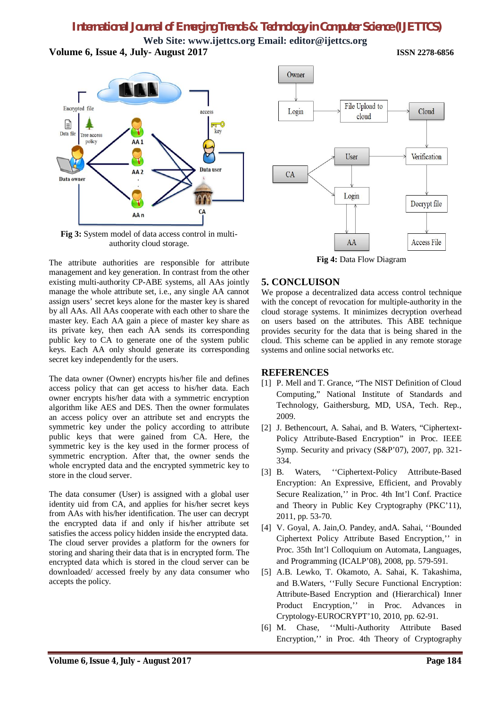# *International Journal of Emerging Trends & Technology in Computer Science (IJETTCS)*

**Web Site: www.ijettcs.org Email: editor@ijettcs.org Volume 6, Issue 4, July- August 2017 ISSN 2278-6856**



**Fig 3:** System model of data access control in multiauthority cloud storage.

The attribute authorities are responsible for attribute management and key generation. In contrast from the other existing multi-authority CP-ABE systems, all AAs jointly manage the whole attribute set, i.e., any single AA cannot assign users' secret keys alone for the master key is shared by all AAs. All AAs cooperate with each other to share the master key. Each AA gain a piece of master key share as its private key, then each AA sends its corresponding public key to CA to generate one of the system public keys. Each AA only should generate its corresponding secret key independently for the users.

The data owner (Owner) encrypts his/her file and defines access policy that can get access to his/her data. Each owner encrypts his/her data with a symmetric encryption algorithm like AES and DES. Then the owner formulates an access policy over an attribute set and encrypts the symmetric key under the policy according to attribute public keys that were gained from CA. Here, the symmetric key is the key used in the former process of symmetric encryption. After that, the owner sends the whole encrypted data and the encrypted symmetric key to store in the cloud server.

The data consumer (User) is assigned with a global user identity uid from CA, and applies for his/her secret keys from AAs with his/her identification. The user can decrypt the encrypted data if and only if his/her attribute set satisfies the access policy hidden inside the encrypted data. The cloud server provides a platform for the owners for storing and sharing their data that is in encrypted form. The encrypted data which is stored in the cloud server can be downloaded/ accessed freely by any data consumer who accepts the policy.



**Fig 4:** Data Flow Diagram

#### **5. CONCLUISON**

We propose a decentralized data access control technique with the concept of revocation for multiple-authority in the cloud storage systems. It minimizes decryption overhead on users based on the attributes. This ABE technique provides security for the data that is being shared in the cloud. This scheme can be applied in any remote storage systems and online social networks etc.

#### **REFERENCES**

- [1] P. Mell and T. Grance, "The NIST Definition of Cloud Computing," National Institute of Standards and Technology, Gaithersburg, MD, USA, Tech. Rep., 2009.
- [2] J. Bethencourt, A. Sahai, and B. Waters, "Ciphertext-Policy Attribute-Based Encryption" in Proc. IEEE Symp. Security and privacy (S&P'07), 2007, pp. 321- 334.
- [3] B. Waters, ''Ciphertext-Policy Attribute-Based Encryption: An Expressive, Efficient, and Provably Secure Realization,'' in Proc. 4th Int'l Conf. Practice and Theory in Public Key Cryptography (PKC'11), 2011, pp. 53-70.
- [4] V. Goyal, A. Jain,O. Pandey, andA. Sahai, ''Bounded Ciphertext Policy Attribute Based Encryption,'' in Proc. 35th Int'l Colloquium on Automata, Languages, and Programming (ICALP'08), 2008, pp. 579-591.
- [5] A.B. Lewko, T. Okamoto, A. Sahai, K. Takashima, and B.Waters, ''Fully Secure Functional Encryption: Attribute-Based Encryption and (Hierarchical) Inner Product Encryption,'' in Proc. Advances in Cryptology-EUROCRYPT'10, 2010, pp. 62-91.
- [6] M. Chase, ''Multi-Authority Attribute Based Encryption,'' in Proc. 4th Theory of Cryptography